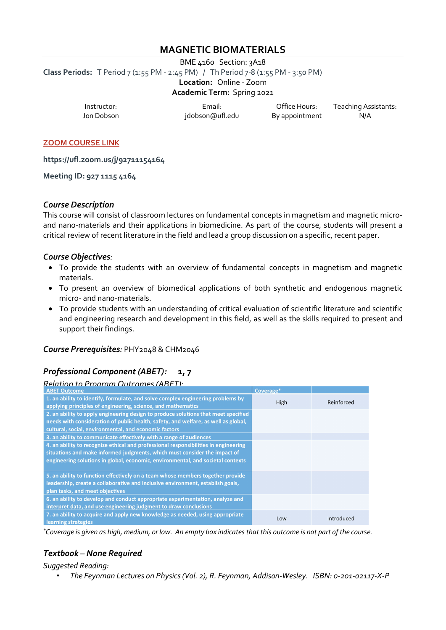# **MAGNETIC BIOMATERIALS**

### BME 4160 Section: 3A18 **Class Periods:** T Period 7 (1:55 PM - 2:45 PM) / Th Period 7-8 (1:55 PM - 3:50 PM) **Location:** Online - Zoom **Academic Term:** Spring 2021

| Instructor: | Email:          | Office Hours:  | Teaching Assistants: |
|-------------|-----------------|----------------|----------------------|
| Jon Dobson  | jdobson@ufl.edu | By appointment | N/A                  |
|             |                 |                |                      |

#### **ZOOM COURSE LINK**

**https://ufl.zoom.us/j/92711154164**

**Meeting ID: 927 1115 4164**

# *Course Description*

This course will consist of classroom lectures on fundamental concepts in magnetism and magnetic microand nano-materials and their applications in biomedicine. As part of the course, students will present a critical review of recent literature in the field and lead a group discussion on a specific, recent paper.

# *Course Objectives:*

- To provide the students with an overview of fundamental concepts in magnetism and magnetic materials.
- To present an overview of biomedical applications of both synthetic and endogenous magnetic micro- and nano-materials.
- To provide students with an understanding of critical evaluation of scientific literature and scientific and engineering research and development in this field, as well as the skills required to present and support their findings.

# *Course Prerequisites:* PHY2048 & CHM2046

# *Professional Component (ABET):* **1, 7**

### *Relation to Program Outcomes (ABET):*

| <b>ABET Outcome</b>                                                                                                                                                      | Coverage* |            |
|--------------------------------------------------------------------------------------------------------------------------------------------------------------------------|-----------|------------|
| 1. an ability to identify, formulate, and solve complex engineering problems by<br>applying principles of engineering, science, and mathematics                          | High      | Reinforced |
| 2. an ability to apply engineering design to produce solutions that meet specified<br>needs with consideration of public health, safety, and welfare, as well as global, |           |            |
| cultural, social, environmental, and economic factors                                                                                                                    |           |            |
| 3. an ability to communicate effectively with a range of audiences                                                                                                       |           |            |
| 4. an ability to recognize ethical and professional responsibilities in engineering                                                                                      |           |            |
| situations and make informed judgments, which must consider the impact of                                                                                                |           |            |
| engineering solutions in global, economic, environmental, and societal contexts                                                                                          |           |            |
| 5. an ability to function effectively on a team whose members together provide                                                                                           |           |            |
| leadership, create a collaborative and inclusive environment, establish goals,                                                                                           |           |            |
| plan tasks, and meet objectives                                                                                                                                          |           |            |
| 6. an ability to develop and conduct appropriate experimentation, analyze and                                                                                            |           |            |
| interpret data, and use engineering judgment to draw conclusions                                                                                                         |           |            |
| 7. an ability to acquire and apply new knowledge as needed, using appropriate<br>learning strategies                                                                     | Low       | Introduced |

*\* Coverage is given as high, medium, or low. An empty box indicates that this outcome is not part of the course.*

# *Textbook – None Required*

#### *Suggested Reading:*

• *The Feynman Lectures on Physics (Vol. 2), R. Feynman, Addison-Wesley. ISBN: 0-201-02117-X-P*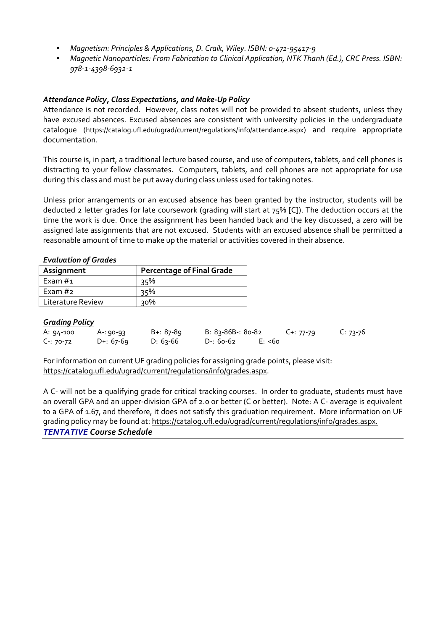- *Magnetism: Principles & Applications, D. Craik, Wiley. ISBN: 0-471-95417-9*
- *Magnetic Nanoparticles: From Fabrication to Clinical Application, NTK Thanh (Ed.), CRC Press. ISBN: 978-1-4398-6932-1*

# *Attendance Policy, Class Expectations, and Make-Up Policy*

Attendance is not recorded. However, class notes will not be provided to absent students, unless they have excused absences. Excused absences are consistent with university policies in the undergraduate catalogue [\(https://catalog.ufl.edu/ugrad/current/regulations/info/attendance.aspx\)](https://catalog.ufl.edu/ugrad/current/regulations/info/attendance.aspx) and require appropriate documentation.

This course is, in part, a traditional lecture based course, and use of computers, tablets, and cell phones is distracting to your fellow classmates. Computers, tablets, and cell phones are not appropriate for use during this class and must be put away during class unless used for taking notes.

Unless prior arrangements or an excused absence has been granted by the instructor, students will be deducted 2 letter grades for late coursework (grading will start at 75% [C]). The deduction occurs at the time the work is due. Once the assignment has been handed back and the key discussed, a zero will be assigned late assignments that are not excused. Students with an excused absence shall be permitted a reasonable amount of time to make up the material or activities covered in their absence.

### *Evaluation of Grades*

| Assignment        | <b>Percentage of Final Grade</b> |
|-------------------|----------------------------------|
| Exam $#_1$        | 35%                              |
| Exam $#_2$        | ३५%                              |
| Literature Review | २०%                              |

#### *Grading Policy*

| A: 94-100     | A-: 90-93   | $B + 87 - 89$ | B: 83-86B-: 80-82 |         | $C + 77 - 79$ | $C: 73-76$ |
|---------------|-------------|---------------|-------------------|---------|---------------|------------|
| $C - 70 - 72$ | $D+: 67-69$ | D: 63-66      | D-: 60-62         | E: < 60 |               |            |

For information on current UF grading policies for assigning grade points, please visit: [https://catalog.ufl.edu/ugrad/current/regulations/info/grades.aspx.](https://catalog.ufl.edu/ugrad/current/regulations/info/grades.aspx)

A C- will not be a qualifying grade for critical tracking courses. In order to graduate, students must have an overall GPA and an upper-division GPA of 2.0 or better (C or better). Note: A C- average is equivalent to a GPA of 1.67, and therefore, it does not satisfy this graduation requirement. More information on UF grading policy may be found at: https://catalog.ufl.edu/ugrad/current/requlations/info/grades.aspx. *TENTATIVE Course Schedule*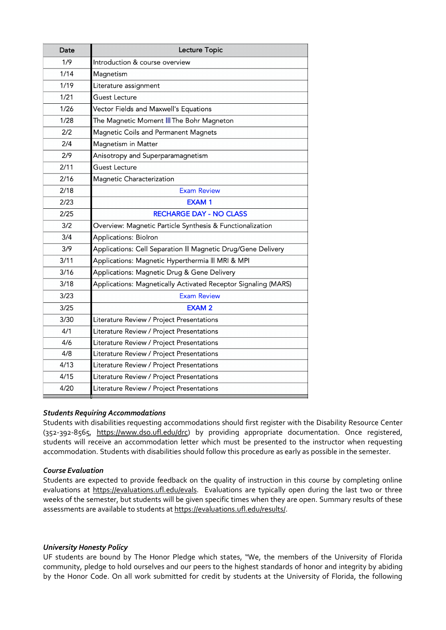| Date | Lecture Topic                                                  |
|------|----------------------------------------------------------------|
| 1/9  | Introduction & course overview                                 |
| 1/14 | Magnetism                                                      |
| 1/19 | Literature assignment                                          |
| 1/21 | Guest Lecture                                                  |
| 1/26 | Vector Fields and Maxwell's Equations                          |
| 1/28 | The Magnetic Moment III The Bohr Magneton                      |
| 2/2  | Magnetic Coils and Permanent Magnets                           |
| 2/4  | Magnetism in Matter                                            |
| 2/9  | Anisotropy and Superparamagnetism                              |
| 2/11 | Guest Lecture                                                  |
| 2/16 | Magnetic Characterization                                      |
| 2/18 | <b>Exam Review</b>                                             |
| 2/23 | <b>EXAM1</b>                                                   |
| 2/25 | <b>RECHARGE DAY - NO CLASS</b>                                 |
| 3/2  | Overview: Magnetic Particle Synthesis & Functionalization      |
| 3/4  | <b>Applications: Biolron</b>                                   |
| 3/9  | Applications: Cell Separation III Magnetic Drug/Gene Delivery  |
| 3/11 | Applications: Magnetic Hyperthermia III MRI & MPI              |
| 3/16 | Applications: Magnetic Drug & Gene Delivery                    |
| 3/18 | Applications: Magnetically Activated Receptor Signaling (MARS) |
| 3/23 | <b>Exam Review</b>                                             |
| 3/25 | <b>EXAM2</b>                                                   |
| 3/30 | Literature Review / Project Presentations                      |
| 4/1  | Literature Review / Project Presentations                      |
| 4/6  | Literature Review / Project Presentations                      |
| 4/8  | Literature Review / Project Presentations                      |
| 4/13 | Literature Review / Project Presentations                      |
| 4/15 | Literature Review / Project Presentations                      |
| 4/20 | Literature Review / Project Presentations                      |

#### *Students Requiring Accommodations*

Students with disabilities requesting accommodations should first register with the Disability Resource Center (352-392-8565, https://www.dso.ufl.edu/drc) by providing appropriate documentation. Once registered, students will receive an accommodation letter which must be presented to the instructor when requesting accommodation. Students with disabilities should follow this procedure as early as possible in the semester.

#### *Course Evaluation*

Students are expected to provide feedback on the quality of instruction in this course by completing online evaluations at [https://evaluations.ufl.edu/evals.](https://evaluations.ufl.edu/evals) Evaluations are typically open during the last two or three weeks of the semester, but students will be given specific times when they are open. Summary results of these assessments are available to students at [https://evaluations.ufl.edu/results/.](https://evaluations.ufl.edu/results/)

#### *University Honesty Policy*

UF students are bound by The Honor Pledge which states, "We, the members of the University of Florida community, pledge to hold ourselves and our peers to the highest standards of honor and integrity by abiding by the Honor Code. On all work submitted for credit by students at the University of Florida, the following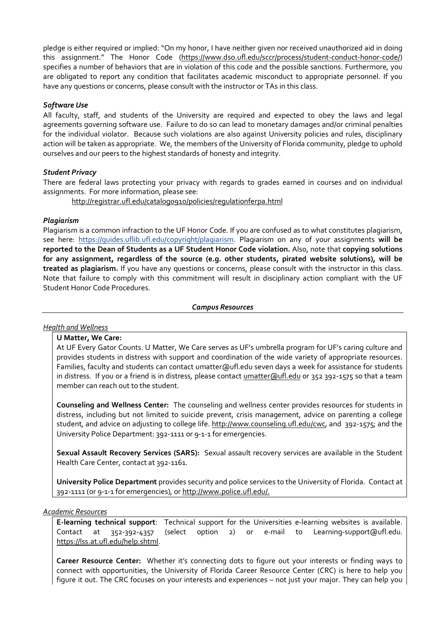pledge is either required or implied: "On my honor, I have neither given nor received unauthorized aid in doing this assignment." The Honor Code (https://www.dso.ufl.edu/sccr/process/student-conduct-honor-code/) specifies a number of behaviors that are in violation of this code and the possible sanctions. Furthermore, you are obligated to report any condition that facilitates academic misconduct to appropriate personnel. If you have any questions or concerns, please consult with the instructor or TAs in this class.

### *Software Use*

All faculty, staff, and students of the University are required and expected to obey the laws and legal agreements governing software use. Failure to do so can lead to monetary damages and/or criminal penalties for the individual violator. Because such violations are also against University policies and rules, disciplinary action will be taken as appropriate. We, the members of the University of Florida community, pledge to uphold ourselves and our peers to the highest standards of honesty and integrity.

### *Student Privacy*

There are federal laws protecting your privacy with regards to grades earned in courses and on individual assignments. For more information, please see:

<http://registrar.ufl.edu/catalog0910/policies/regulationferpa.html>

#### *Plagiarism*

Plagiarism is a common infraction to the UF Honor Code. If you are confused as to what constitutes plagiarism, see here: [https://guides.uflib.ufl.edu/copyright/plagiarism.](https://guides.uflib.ufl.edu/copyright/plagiarism) Plagiarism on any of your assignments **will be reported to the Dean of Students as a UF Student Honor Code violation.** Also, note that **copying solutions for any assignment, regardless of the source (e.g. other students, pirated website solutions), will be treated as plagiarism.** If you have any questions or concerns, please consult with the instructor in this class. Note that failure to comply with this commitment will result in disciplinary action compliant with the UF Student Honor Code Procedures.

#### *Campus Resources*

#### *Health and Wellness*

#### **U Matter, We Care:**

At UF Every Gator Counts. U Matter, We Care serves as UF's umbrella program for UF's caring culture and provides students in distress with support and coordination of the wide variety of appropriate resources. Families, faculty and students can contact umatter@ufl.edu seven days a week for assistance for students in distress. If you or a friend is in distress, please contact umatter@ufl.edu or 352 392-1575 so that a team member can reach out to the student.

**Counseling and Wellness Center:** The counseling and wellness center provides resources for students in distress, including but not limited to suicide prevent, crisis management, advice on parenting a college student, and advice on adjusting to college life. [http://www.counseling.ufl.edu/cwc,](http://www.counseling.ufl.edu/cwc) and 392-1575; and the University Police Department: 392-1111 or 9-1-1 for emergencies.

**Sexual Assault Recovery Services (SARS):** Sexual assault recovery services are available in the Student Health Care Center, contact at 392-1161.

**University Police Department** provides security and police services to the University of Florida. Contact at 392-1111 (or 9-1-1 for emergencies), o[r http://www.police.ufl.edu/.](http://www.police.ufl.edu/)

#### *Academic Resources*

**E-learning technical support**: Technical support for the Universities e-learning websites is available. Contact at 352-392-4357 (select option 2) or e-mail to Learning-support@ufl.edu. [https://lss.at.ufl.edu/help.shtml.](https://lss.at.ufl.edu/help.shtml)

**Career Resource Center:** Whether it's connecting dots to figure out your interests or finding ways to connect with opportunities, the University of Florida Career Resource Center (CRC) is here to help you figure it out. The CRC focuses on your interests and experiences – not just your major. They can help you